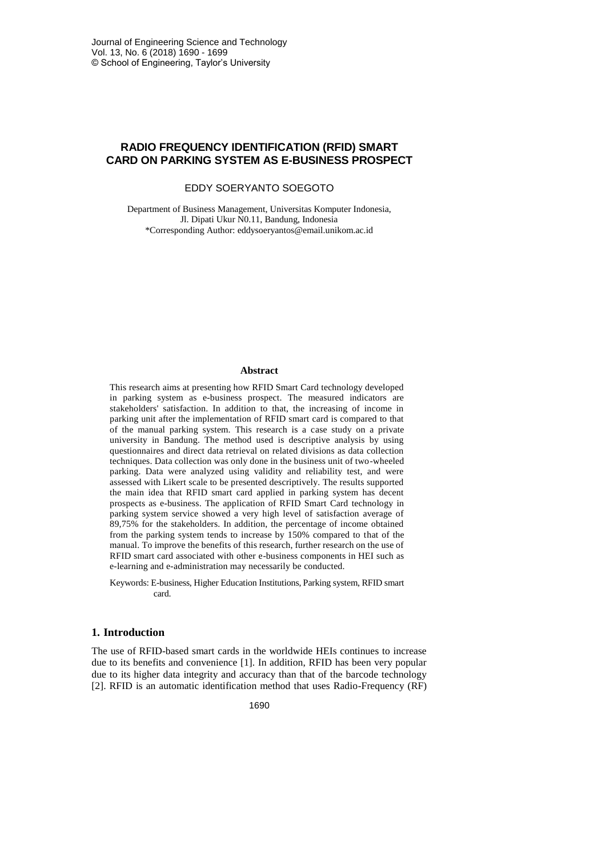# **RADIO FREQUENCY IDENTIFICATION (RFID) SMART CARD ON PARKING SYSTEM AS E-BUSINESS PROSPECT**

# EDDY SOERYANTO SOEGOTO

Department of Business Management, Universitas Komputer Indonesia, Jl. Dipati Ukur N0.11, Bandung, Indonesia \*Corresponding Author: eddysoeryantos@email.unikom.ac.id

#### **Abstract**

This research aims at presenting how RFID Smart Card technology developed in parking system as e-business prospect. The measured indicators are stakeholders' satisfaction. In addition to that, the increasing of income in parking unit after the implementation of RFID smart card is compared to that of the manual parking system. This research is a case study on a private university in Bandung. The method used is descriptive analysis by using questionnaires and direct data retrieval on related divisions as data collection techniques. Data collection was only done in the business unit of two-wheeled parking. Data were analyzed using validity and reliability test, and were assessed with Likert scale to be presented descriptively. The results supported the main idea that RFID smart card applied in parking system has decent prospects as e-business. The application of RFID Smart Card technology in parking system service showed a very high level of satisfaction average of 89,75% for the stakeholders. In addition, the percentage of income obtained from the parking system tends to increase by 150% compared to that of the manual. To improve the benefits of this research, further research on the use of RFID smart card associated with other e-business components in HEI such as e-learning and e-administration may necessarily be conducted.

Keywords: E-business, Higher Education Institutions, Parking system, RFID smart card.

## **1. Introduction**

The use of RFID-based smart cards in the worldwide HEIs continues to increase due to its benefits and convenience [1]. In addition, RFID has been very popular due to its higher data integrity and accuracy than that of the barcode technology [2]. RFID is an automatic identification method that uses Radio-Frequency (RF)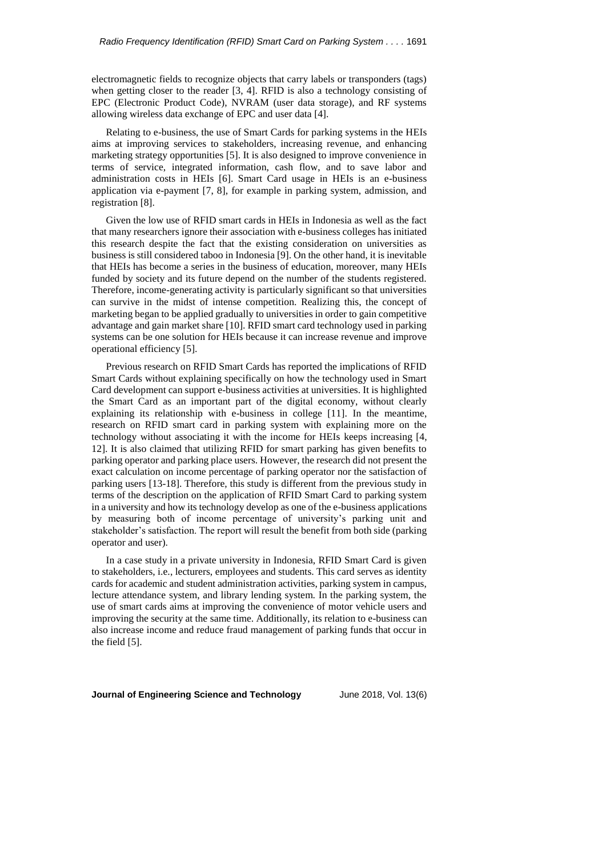electromagnetic fields to recognize objects that carry labels or transponders (tags) when getting closer to the reader [3, 4]. RFID is also a technology consisting of EPC (Electronic Product Code), NVRAM (user data storage), and RF systems allowing wireless data exchange of EPC and user data [4].

Relating to e-business, the use of Smart Cards for parking systems in the HEIs aims at improving services to stakeholders, increasing revenue, and enhancing marketing strategy opportunities [5]. It is also designed to improve convenience in terms of service, integrated information, cash flow, and to save labor and administration costs in HEIs [6]. Smart Card usage in HEIs is an e-business application via e-payment [7, 8], for example in parking system, admission, and registration [8].

Given the low use of RFID smart cards in HEIs in Indonesia as well as the fact that many researchers ignore their association with e-business colleges has initiated this research despite the fact that the existing consideration on universities as business is still considered taboo in Indonesia [9]. On the other hand, it is inevitable that HEIs has become a series in the business of education, moreover, many HEIs funded by society and its future depend on the number of the students registered. Therefore, income-generating activity is particularly significant so that universities can survive in the midst of intense competition. Realizing this, the concept of marketing began to be applied gradually to universities in order to gain competitive advantage and gain market share [10]. RFID smart card technology used in parking systems can be one solution for HEIs because it can increase revenue and improve operational efficiency [5].

Previous research on RFID Smart Cards has reported the implications of RFID Smart Cards without explaining specifically on how the technology used in Smart Card development can support e-business activities at universities. It is highlighted the Smart Card as an important part of the digital economy, without clearly explaining its relationship with e-business in college [11]. In the meantime, research on RFID smart card in parking system with explaining more on the technology without associating it with the income for HEIs keeps increasing [4, 12]. It is also claimed that utilizing RFID for smart parking has given benefits to parking operator and parking place users. However, the research did not present the exact calculation on income percentage of parking operator nor the satisfaction of parking users [13-18]. Therefore, this study is different from the previous study in terms of the description on the application of RFID Smart Card to parking system in a university and how its technology develop as one of the e-business applications by measuring both of income percentage of university's parking unit and stakeholder's satisfaction. The report will result the benefit from both side (parking operator and user).

In a case study in a private university in Indonesia, RFID Smart Card is given to stakeholders, i.e., lecturers, employees and students. This card serves as identity cards for academic and student administration activities, parking system in campus, lecture attendance system, and library lending system. In the parking system, the use of smart cards aims at improving the convenience of motor vehicle users and improving the security at the same time. Additionally, its relation to e-business can also increase income and reduce fraud management of parking funds that occur in the field [5].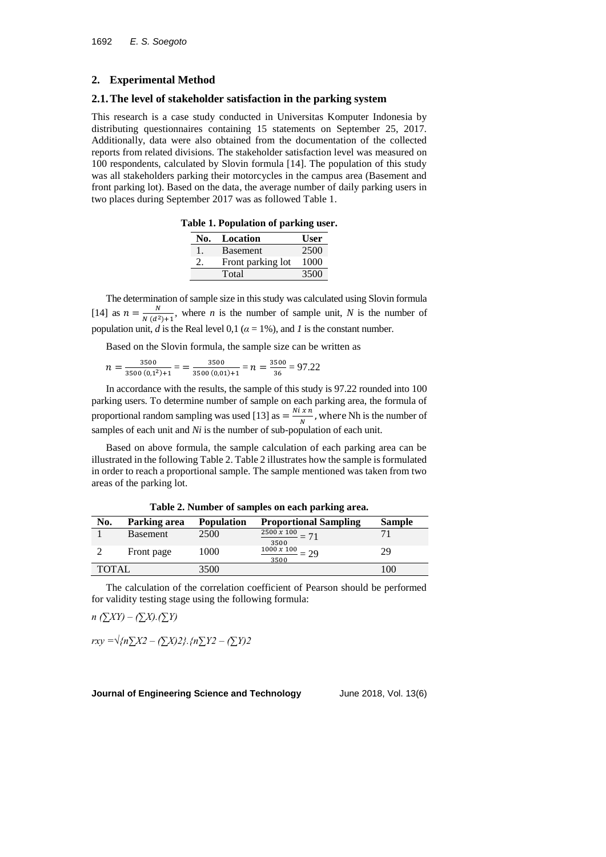### **2. Experimental Method**

### **2.1.The level of stakeholder satisfaction in the parking system**

This research is a case study conducted in Universitas Komputer Indonesia by distributing questionnaires containing 15 statements on September 25, 2017. Additionally, data were also obtained from the documentation of the collected reports from related divisions. The stakeholder satisfaction level was measured on 100 respondents, calculated by Slovin formula [14]. The population of this study was all stakeholders parking their motorcycles in the campus area (Basement and front parking lot). Based on the data, the average number of daily parking users in two places during September 2017 was as followed Table 1.

**Table 1. Population of parking user.**

| No. | Location          | User |
|-----|-------------------|------|
| Т.  | <b>Basement</b>   | 2500 |
|     | Front parking lot | 1000 |
|     | Total             | 3500 |

The determination of sample size in this study was calculated using Slovin formula [14] as  $n = \frac{N}{N}$  $\frac{N}{N(d^2)+1}$ , where *n* is the number of sample unit, *N* is the number of population unit, *d* is the Real level 0,1 ( $\alpha = 1\%$ ), and *l* is the constant number.

Based on the Slovin formula, the sample size can be written as

$$
n = \frac{3500}{3500 (0,1^2) + 1} = \frac{3500}{3500 (0,01) + 1} = n = \frac{3500}{36} = 97.22
$$

In accordance with the results, the sample of this study is 97.22 rounded into 100 parking users. To determine number of sample on each parking area, the formula of proportional random sampling was used [13] as  $= \frac{N i x n}{N}$  $\frac{m}{N}$ , where Nh is the number of samples of each unit and *Ni* is the number of sub-population of each unit.

Based on above formula, the sample calculation of each parking area can be illustrated in the following Table 2. Table 2 illustrates how the sample is formulated in order to reach a proportional sample. The sample mentioned was taken from two areas of the parking lot.

| No.   | Parking area    | <b>Population</b> | <b>Proportional Sampling</b>             | <b>Sample</b> |
|-------|-----------------|-------------------|------------------------------------------|---------------|
|       | <b>Basement</b> | 2500              | $\frac{2500 \times 100}{2} = 71$<br>3500 |               |
|       | Front page      | 1000              | $\frac{1000 x 100}{x}$<br>$= 29$<br>3500 | 29            |
| TOTAL |                 | 3500              |                                          | 100           |

**Table 2. Number of samples on each parking area.**

The calculation of the correlation coefficient of Pearson should be performed for validity testing stage using the following formula:

*n (∑XY) – (∑X).(∑Y)*

*rxy =√{n∑X2 – (∑X)2}.{n∑Y2 – (∑Y)2*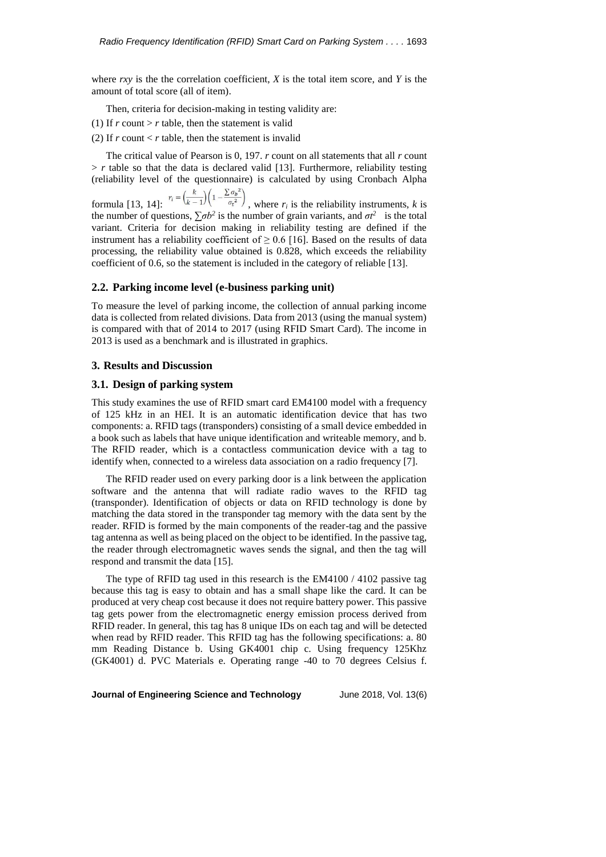where *rxy* is the the correlation coefficient, *X* is the total item score, and *Y* is the amount of total score (all of item).

Then, criteria for decision-making in testing validity are:

- (1) If  $r$  count  $> r$  table, then the statement is valid
- (2) If  $r$  count  $\lt r$  table, then the statement is invalid

The critical value of Pearson is 0, 197. *r* count on all statements that all *r* count  $> r$  table so that the data is declared valid [13]. Furthermore, reliability testing (reliability level of the questionnaire) is calculated by using Cronbach Alpha

formula [13, 14]:  $r_i = \left(\frac{k}{k-1}\right) \left(1 - \frac{\sum \sigma_b^2}{\sigma_t^2}\right)$ , where  $r_i$  is the reliability instruments, *k* is the number of questions,  $\sum \sigma b^2$  is the number of grain variants, and  $\sigma t^2$  is the total variant. Criteria for decision making in reliability testing are defined if the instrument has a reliability coefficient of  $\geq$  0.6 [16]. Based on the results of data processing, the reliability value obtained is 0.828, which exceeds the reliability coefficient of 0.6, so the statement is included in the category of reliable [13].

#### **2.2. Parking income level (e-business parking unit)**

To measure the level of parking income, the collection of annual parking income data is collected from related divisions. Data from 2013 (using the manual system) is compared with that of 2014 to 2017 (using RFID Smart Card). The income in 2013 is used as a benchmark and is illustrated in graphics.

#### **3. Results and Discussion**

#### **3.1. Design of parking system**

This study examines the use of RFID smart card EM4100 model with a frequency of 125 kHz in an HEI. It is an automatic identification device that has two components: a. RFID tags (transponders) consisting of a small device embedded in a book such as labels that have unique identification and writeable memory, and b. The RFID reader, which is a contactless communication device with a tag to identify when, connected to a wireless data association on a radio frequency [7].

The RFID reader used on every parking door is a link between the application software and the antenna that will radiate radio waves to the RFID tag (transponder). Identification of objects or data on RFID technology is done by matching the data stored in the transponder tag memory with the data sent by the reader. RFID is formed by the main components of the reader-tag and the passive tag antenna as well as being placed on the object to be identified. In the passive tag, the reader through electromagnetic waves sends the signal, and then the tag will respond and transmit the data [15].

The type of RFID tag used in this research is the EM4100 / 4102 passive tag because this tag is easy to obtain and has a small shape like the card. It can be produced at very cheap cost because it does not require battery power. This passive tag gets power from the electromagnetic energy emission process derived from RFID reader. In general, this tag has 8 unique IDs on each tag and will be detected when read by RFID reader. This RFID tag has the following specifications: a. 80 mm Reading Distance b. Using GK4001 chip c. Using frequency 125Khz (GK4001) d. PVC Materials e. Operating range -40 to 70 degrees Celsius f.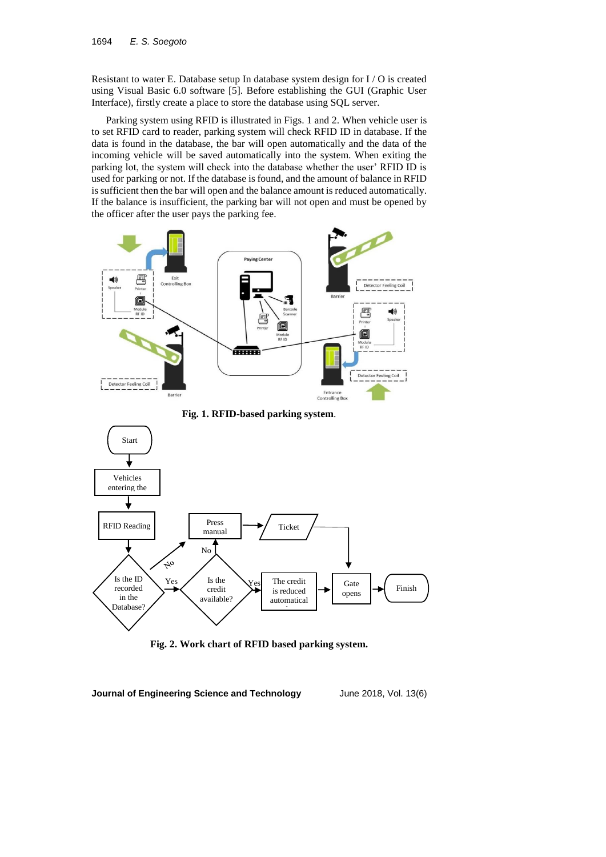Resistant to water E. Database setup In database system design for I / O is created using Visual Basic 6.0 software [5]. Before establishing the GUI (Graphic User Interface), firstly create a place to store the database using SQL server.

Parking system using RFID is illustrated in Figs. 1 and 2. When vehicle user is to set RFID card to reader, parking system will check RFID ID in database. If the data is found in the database, the bar will open automatically and the data of the incoming vehicle will be saved automatically into the system. When exiting the parking lot, the system will check into the database whether the user' RFID ID is used for parking or not. If the database is found, and the amount of balance in RFID is sufficient then the bar will open and the balance amount is reduced automatically. If the balance is insufficient, the parking bar will not open and must be opened by the officer after the user pays the parking fee.



**Fig. 1. RFID-based parking system**.



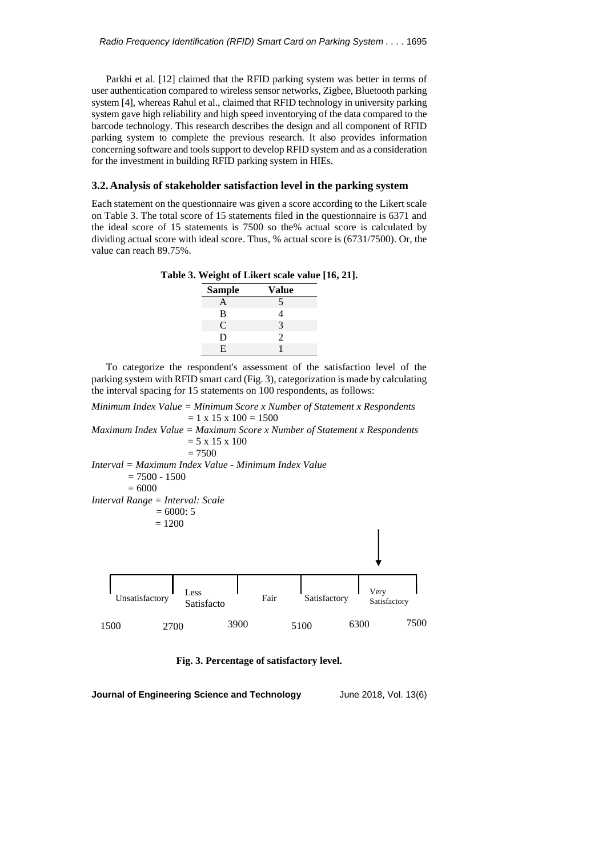Parkhi et al. [12] claimed that the RFID parking system was better in terms of user authentication compared to wireless sensor networks, Zigbee, Bluetooth parking system [4], whereas Rahul et al., claimed that RFID technology in university parking system gave high reliability and high speed inventorying of the data compared to the barcode technology. This research describes the design and all component of RFID parking system to complete the previous research. It also provides information concerning software and tools support to develop RFID system and as a consideration for the investment in building RFID parking system in HIEs.

## **3.2.Analysis of stakeholder satisfaction level in the parking system**

Each statement on the questionnaire was given a score according to the Likert scale on Table 3. The total score of 15 statements filed in the questionnaire is 6371 and the ideal score of 15 statements is 7500 so the% actual score is calculated by dividing actual score with ideal score. Thus, % actual score is (6731/7500). Or, the value can reach 89.75%.

**Table 3. Weight of Likert scale value [16, 21].**

| <b>Sample</b> | Value |
|---------------|-------|
| A             | 5     |
| B             | 4     |
| C             | 3     |
| D             | 2     |
| E             |       |

To categorize the respondent's assessment of the satisfaction level of the parking system with RFID smart card (Fig. 3), categorization is made by calculating the interval spacing for 15 statements on 100 respondents, as follows:

*Minimum Index Value = Minimum Score x Number of Statement x Respondents*  $= 1 \times 15 \times 100 = 1500$ *Maximum Index Value = Maximum Score x Number of Statement x Respondents*

```
= 5 \times 15 \times 100
```
 $= 7500$ *Interval = Maximum Index Value - Minimum Index Value*  $= 7500 - 1500$  $= 6000$ *Interval Range = Interval: Scale*  $= 6000: 5$  $= 1200$ 



**Fig. 3. Percentage of satisfactory level.**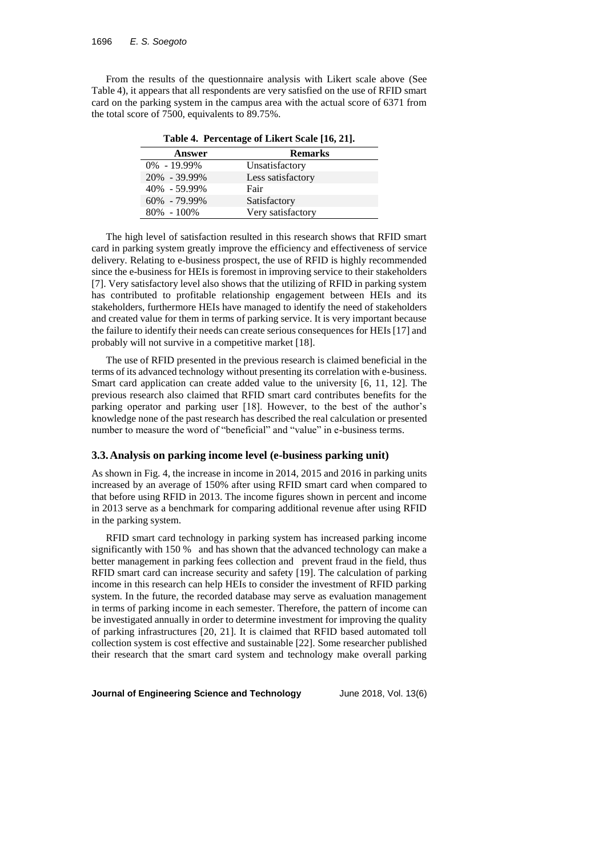From the results of the questionnaire analysis with Likert scale above (See Table 4), it appears that all respondents are very satisfied on the use of RFID smart card on the parking system in the campus area with the actual score of 6371 from the total score of 7500, equivalents to 89.75%.

| $1.0010$ it I creenting the military bears $1.01$ |                   |  |  |  |
|---------------------------------------------------|-------------------|--|--|--|
| Answer                                            | <b>Remarks</b>    |  |  |  |
| $0\% - 19.99\%$                                   | Unsatisfactory    |  |  |  |
| $20\% - 39.99\%$                                  | Less satisfactory |  |  |  |
| 40% - 59.99%                                      | Fair              |  |  |  |
| $60\% - 79.99\%$                                  | Satisfactory      |  |  |  |
| $80\% - 100\%$                                    | Very satisfactory |  |  |  |

**Table 4. Percentage of Likert Scale [16, 21].**

The high level of satisfaction resulted in this research shows that RFID smart card in parking system greatly improve the efficiency and effectiveness of service delivery. Relating to e-business prospect, the use of RFID is highly recommended since the e-business for HEIs is foremost in improving service to their stakeholders [7]. Very satisfactory level also shows that the utilizing of RFID in parking system has contributed to profitable relationship engagement between HEIs and its stakeholders, furthermore HEIs have managed to identify the need of stakeholders and created value for them in terms of parking service. It is very important because the failure to identify their needs can create serious consequences for HEIs [17] and probably will not survive in a competitive market [18].

The use of RFID presented in the previous research is claimed beneficial in the terms of its advanced technology without presenting its correlation with e-business. Smart card application can create added value to the university [6, 11, 12]. The previous research also claimed that RFID smart card contributes benefits for the parking operator and parking user [18]. However, to the best of the author's knowledge none of the past research has described the real calculation or presented number to measure the word of "beneficial" and "value" in e-business terms.

#### **3.3.Analysis on parking income level (e-business parking unit)**

As shown in Fig. 4, the increase in income in 2014, 2015 and 2016 in parking units increased by an average of 150% after using RFID smart card when compared to that before using RFID in 2013. The income figures shown in percent and income in 2013 serve as a benchmark for comparing additional revenue after using RFID in the parking system.

RFID smart card technology in parking system has increased parking income significantly with 150 % and has shown that the advanced technology can make a better management in parking fees collection and prevent fraud in the field, thus RFID smart card can increase security and safety [19]. The calculation of parking income in this research can help HEIs to consider the investment of RFID parking system. In the future, the recorded database may serve as evaluation management in terms of parking income in each semester. Therefore, the pattern of income can be investigated annually in order to determine investment for improving the quality of parking infrastructures [20, 21]. It is claimed that RFID based automated toll collection system is cost effective and sustainable [22]. Some researcher published their research that the smart card system and technology make overall parking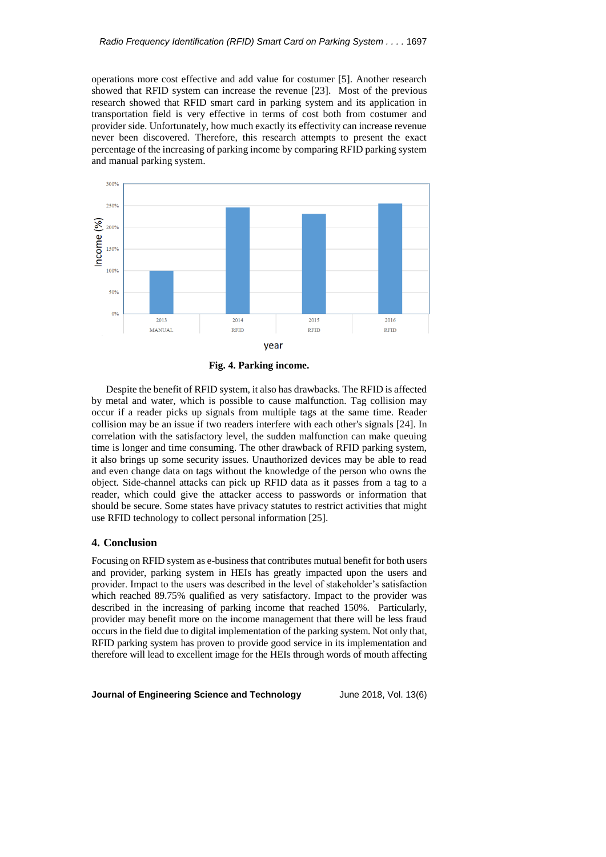operations more cost effective and add value for costumer [5]. Another research showed that RFID system can increase the revenue [23]. Most of the previous research showed that RFID smart card in parking system and its application in transportation field is very effective in terms of cost both from costumer and provider side. Unfortunately, how much exactly its effectivity can increase revenue never been discovered. Therefore, this research attempts to present the exact percentage of the increasing of parking income by comparing RFID parking system and manual parking system.



**Fig. 4. Parking income.**

Despite the benefit of RFID system, it also has drawbacks. The RFID is affected by metal and water, which is possible to cause malfunction. Tag collision may occur if a reader picks up signals from multiple tags at the same time. Reader collision may be an issue if two readers interfere with each other's signals [24]. In correlation with the satisfactory level, the sudden malfunction can make queuing time is longer and time consuming. The other drawback of RFID parking system, it also brings up some security issues. Unauthorized devices may be able to read and even change data on tags without the knowledge of the person who owns the object. Side-channel attacks can pick up RFID data as it passes from a tag to a reader, which could give the attacker access to passwords or information that should be secure. Some states have privacy statutes to restrict activities that might use RFID technology to collect personal information [25].

# **4. Conclusion**

Focusing on RFID system as e-business that contributes mutual benefit for both users and provider, parking system in HEIs has greatly impacted upon the users and provider. Impact to the users was described in the level of stakeholder's satisfaction which reached 89.75% qualified as very satisfactory. Impact to the provider was described in the increasing of parking income that reached 150%. Particularly, provider may benefit more on the income management that there will be less fraud occurs in the field due to digital implementation of the parking system. Not only that, RFID parking system has proven to provide good service in its implementation and therefore will lead to excellent image for the HEIs through words of mouth affecting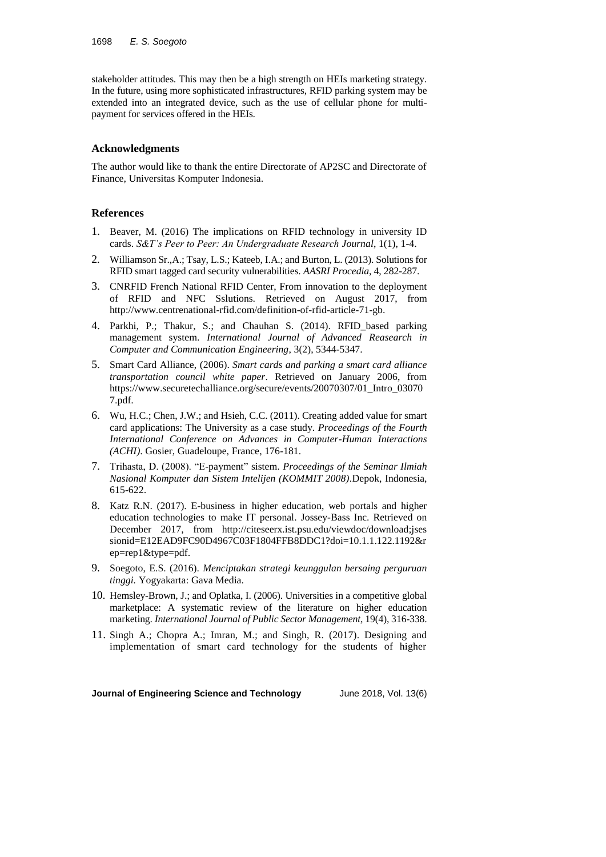stakeholder attitudes. This may then be a high strength on HEIs marketing strategy. In the future, using more sophisticated infrastructures, RFID parking system may be extended into an integrated device, such as the use of cellular phone for multipayment for services offered in the HEIs.

# **Acknowledgments**

The author would like to thank the entire Directorate of AP2SC and Directorate of Finance, Universitas Komputer Indonesia.

# **References**

- 1. Beaver, M. (2016) The implications on RFID technology in university ID cards. *S&T's Peer to Peer: An Undergraduate Research Journal*, 1(1), 1-4.
- 2. Williamson Sr.,A.; Tsay, L.S.; Kateeb, I.A.; and Burton, L. (2013). Solutions for RFID smart tagged card security vulnerabilities. *AASRI Procedia*, 4, 282-287.
- 3. CNRFID French National RFID Center, From innovation to the deployment of RFID and NFC Sslutions. Retrieved on August 2017, from [http://www.centrenational-rfid.com/definition-of-rfid-article-71-gb.](http://www.centrenational-rfid.com/definition-of-rfid-article-71-gb)
- 4. Parkhi, P.; Thakur, S.; and Chauhan S. (2014). RFID\_based parking management system. *International Journal of Advanced Reasearch in Computer and Communication Engineering*, 3(2), 5344-5347.
- 5. Smart Card Alliance, (2006). *Smart cards and parking a smart card alliance transportation council white paper*. Retrieved on January 2006, from https://www.securetechalliance.org/secure/events/20070307/01\_Intro\_03070 7.pdf.
- 6. Wu, H.C.; Chen, J.W.; and Hsieh, C.C. (2011). Creating added value for smart card applications: The University as a case study. *Proceedings of the Fourth International Conference on Advances in Computer-Human Interactions (ACHI)*. Gosier, Guadeloupe, France, 176-181.
- 7. Trihasta, D. (2008). "E-payment" sistem. *Proceedings of the Seminar Ilmiah Nasional Komputer dan Sistem Intelijen (KOMMIT 2008)*.Depok, Indonesia, 615-622.
- 8. Katz R.N. (2017). E-business in higher education, web portals and higher education technologies to make IT personal. Jossey-Bass Inc. Retrieved on December 2017, from [http://citeseerx.ist.psu.edu/viewdoc/download;jses](http://citeseerx.ist.psu.edu/viewdoc/download;jses%20sionid=E12EAD9FC90D4967C03F1804FFB8DDC1?doi=10.1.1.122.1192&rep=rep1&type=pdf) [sionid=E12EAD9FC90D4967C03F1804FFB8DDC1?doi=10.1.1.122.1192&r](http://citeseerx.ist.psu.edu/viewdoc/download;jses%20sionid=E12EAD9FC90D4967C03F1804FFB8DDC1?doi=10.1.1.122.1192&rep=rep1&type=pdf) [ep=rep1&type=pdf.](http://citeseerx.ist.psu.edu/viewdoc/download;jses%20sionid=E12EAD9FC90D4967C03F1804FFB8DDC1?doi=10.1.1.122.1192&rep=rep1&type=pdf)
- 9. Soegoto, E.S. (2016). *Menciptakan strategi keunggulan bersaing perguruan tinggi.* Yogyakarta: Gava Media.
- 10. Hemsley-Brown, J.; and Oplatka, I. (2006). Universities in a competitive global marketplace: A systematic review of the literature on higher education marketing. *International Journal of Public Sector Management*, 19(4), 316-338.
- 11. Singh A.; Chopra A.; Imran, M.; and Singh, R. (2017). Designing and implementation of smart card technology for the students of higher